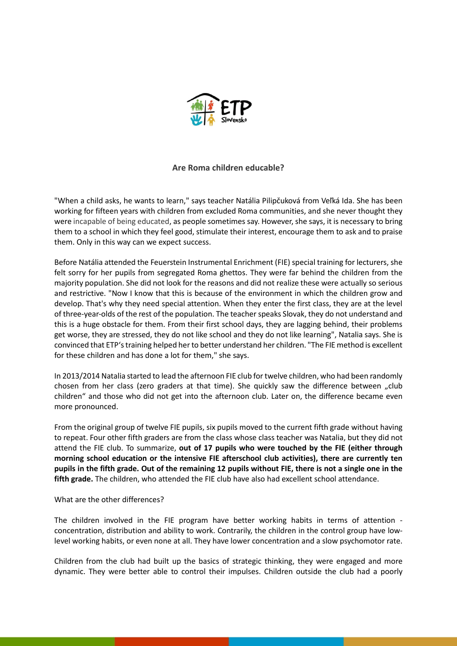

## **Are Roma children educable?**

"When a child asks, he wants to learn," says teacher Natália Pilipčuková from Veľká Ida. She has been working for fifteen years with children from excluded Roma communities, and she never thought they were incapable of being educated, as people sometimes say. However, she says, it is necessary to bring them to a school in which they feel good, stimulate their interest, encourage them to ask and to praise them. Only in this way can we expect success.

Before Natália attended the Feuerstein Instrumental Enrichment (FIE) special training for lecturers, she felt sorry for her pupils from segregated Roma ghettos. They were far behind the children from the majority population. She did not look for the reasons and did not realize these were actually so serious and restrictive. "Now I know that this is because of the environment in which the children grow and develop. That's why they need special attention. When they enter the first class, they are at the level of three-year-olds of the rest of the population. The teacher speaks Slovak, they do not understand and this is a huge obstacle for them. From their first school days, they are lagging behind, their problems get worse, they are stressed, they do not like school and they do not like learning", Natalia says. She is convinced that ETP'straining helped her to better understand her children. "The FIE method is excellent for these children and has done a lot for them," she says.

In 2013/2014 Natalia started to lead the afternoon FIE club for twelve children, who had been randomly chosen from her class (zero graders at that time). She quickly saw the difference between "club children" and those who did not get into the afternoon club. Later on, the difference became even more pronounced.

From the original group of twelve FIE pupils, six pupils moved to the current fifth grade without having to repeat. Four other fifth graders are from the class whose class teacher was Natalia, but they did not attend the FIE club. To summarize, **out of 17 pupils who were touched by the FIE (either through morning school education or the intensive FIE afterschool club activities), there are currently ten pupils in the fifth grade. Out of the remaining 12 pupils without FIE, there is not a single one in the fifth grade.** The children, who attended the FIE club have also had excellent school attendance.

## What are the other differences?

The children involved in the FIE program have better working habits in terms of attention concentration, distribution and ability to work. Contrarily, the children in the control group have lowlevel working habits, or even none at all. They have lower concentration and a slow psychomotor rate.

Children from the club had built up the basics of strategic thinking, they were engaged and more dynamic. They were better able to control their impulses. Children outside the club had a poorly